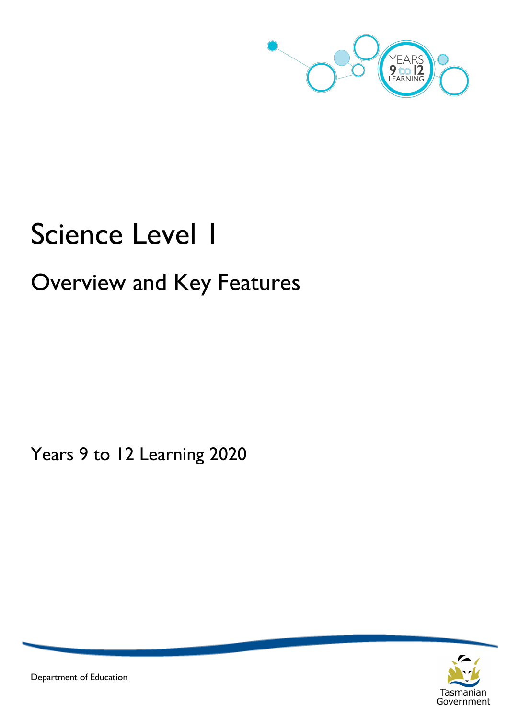

# Science Level 1

# Overview and Key Features

Years 9 to 12 Learning 2020



Department of Education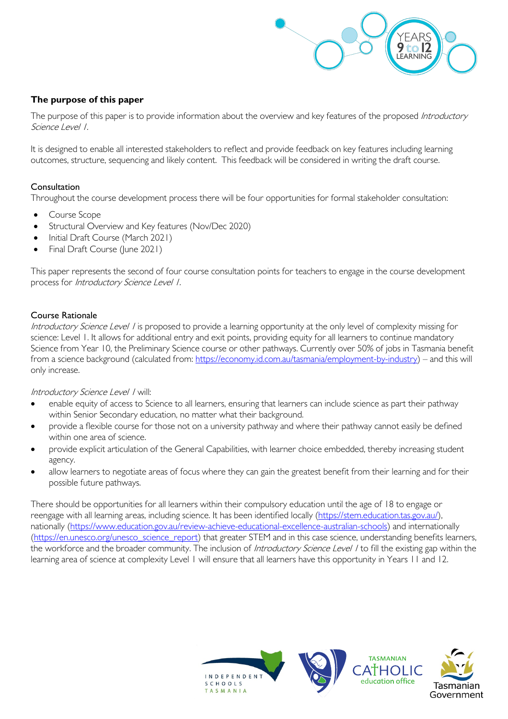

# **The purpose of this paper**

The purpose of this paper is to provide information about the overview and key features of the proposed Introductory Science Level 1.

It is designed to enable all interested stakeholders to reflect and provide feedback on key features including learning outcomes, structure, sequencing and likely content. This feedback will be considered in writing the draft course.

### Consultation

Throughout the course development process there will be four opportunities for formal stakeholder consultation:

- Course Scope
- Structural Overview and Key features (Nov/Dec 2020)
- Initial Draft Course (March 2021)
- Final Draft Course (June 2021)

This paper represents the second of four course consultation points for teachers to engage in the course development process for Introductory Science Level 1.

#### Course Rationale

Introductory Science Level I is proposed to provide a learning opportunity at the only level of complexity missing for science: Level 1. It allows for additional entry and exit points, providing equity for all learners to continue mandatory Science from Year 10, the Preliminary Science course or other pathways. Currently over 50% of jobs in Tasmania benefit from a science background (calculated from: [https://economy.id.com.au/tasmania/employment-by-industry\)](https://economy.id.com.au/tasmania/employment-by-industry) – and this will only increase.

#### Introductory Science Level / will:

- enable equity of access to Science to all learners, ensuring that learners can include science as part their pathway within Senior Secondary education, no matter what their background.
- provide a flexible course for those not on a university pathway and where their pathway cannot easily be defined within one area of science.
- provide explicit articulation of the General Capabilities, with learner choice embedded, thereby increasing student agency.
- allow learners to negotiate areas of focus where they can gain the greatest benefit from their learning and for their possible future pathways.

There should be opportunities for all learners within their compulsory education until the age of 18 to engage or reengage with all learning areas, including science. It has been identified locally [\(https://stem.education.tas.gov.au/\)](https://stem.education.tas.gov.au/), nationally [\(https://www.education.gov.au/review-achieve-educational-excellence-australian-schools\)](https://www.education.gov.au/review-achieve-educational-excellence-australian-schools) and internationally [\(https://en.unesco.org/unesco\\_science\\_report\)](https://en.unesco.org/unesco_science_report) that greater STEM and in this case science, understanding benefits learners, the workforce and the broader community. The inclusion of *Introductory Science Level* / to fill the existing gap within the learning area of science at complexity Level 1 will ensure that all learners have this opportunity in Years 11 and 12.

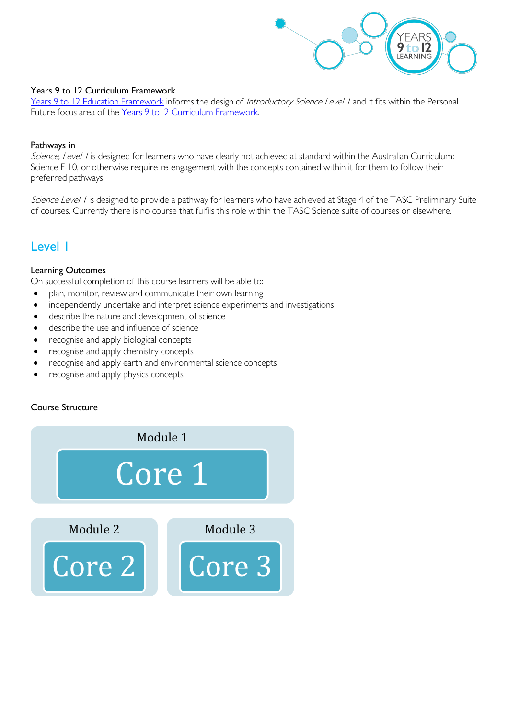

#### Years 9 to 12 Curriculum Framework

[Years 9 to 12 Education Framework](https://publicdocumentcentre.education.tas.gov.au/library/Shared%20Documents/Years-9-to-12-Education-Framework.pdf) informs the design of Introductory Science Level / and it fits within the Personal Future focus area of the [Years 9 to12 Curriculum Framework.](https://publicdocumentcentre.education.tas.gov.au/library/Shared%20Documents/Education%209-12%20Frameworks%20A3%20WEB%20POSTER.pdf)

#### Pathways in

Science, Level I is designed for learners who have clearly not achieved at standard within the Australian Curriculum: Science F-10, or otherwise require re-engagement with the concepts contained within it for them to follow their preferred pathways.

Science Level I is designed to provide a pathway for learners who have achieved at Stage 4 of the TASC Preliminary Suite of courses. Currently there is no course that fulfils this role within the TASC Science suite of courses or elsewhere.

# Level 1

#### Learning Outcomes

On successful completion of this course learners will be able to:

- plan, monitor, review and communicate their own learning
- independently undertake and interpret science experiments and investigations
- describe the nature and development of science
- describe the use and influence of science
- recognise and apply biological concepts
- recognise and apply chemistry concepts
- recognise and apply earth and environmental science concepts
- recognise and apply physics concepts

# Course Structure

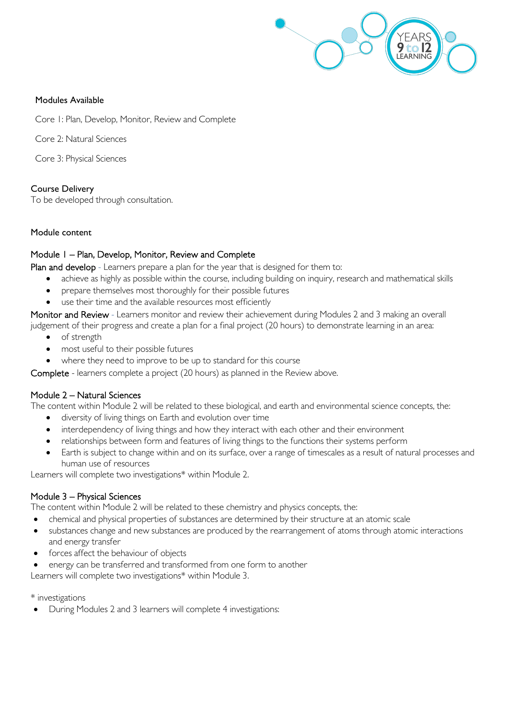

#### Modules Available

Core 1: Plan, Develop, Monitor, Review and Complete

Core 2: Natural Sciences

Core 3: Physical Sciences

#### Course Delivery

To be developed through consultation.

#### Module content

#### Module 1 – Plan, Develop, Monitor, Review and Complete

Plan and develop - Learners prepare a plan for the year that is designed for them to:

- achieve as highly as possible within the course, including building on inquiry, research and mathematical skills
- prepare themselves most thoroughly for their possible futures
- use their time and the available resources most efficiently

Monitor and Review - Learners monitor and review their achievement during Modules 2 and 3 making an overall

- judgement of their progress and create a plan for a final project (20 hours) to demonstrate learning in an area:
	- of strength
	- most useful to their possible futures
	- where they need to improve to be up to standard for this course

Complete - learners complete a project (20 hours) as planned in the Review above.

#### Module 2 – Natural Sciences

The content within Module 2 will be related to these biological, and earth and environmental science concepts, the:

- diversity of living things on Earth and evolution over time
- interdependency of living things and how they interact with each other and their environment
- relationships between form and features of living things to the functions their systems perform
- Earth is subject to change within and on its surface, over a range of timescales as a result of natural processes and human use of resources

Learners will complete two investigations\* within Module 2.

#### Module 3 – Physical Sciences

The content within Module 2 will be related to these chemistry and physics concepts, the:

- chemical and physical properties of substances are determined by their structure at an atomic scale
- substances change and new substances are produced by the rearrangement of atoms through atomic interactions and energy transfer
- forces affect the behaviour of objects
- energy can be transferred and transformed from one form to another

Learners will complete two investigations\* within Module 3.

\* investigations

• During Modules 2 and 3 learners will complete 4 investigations: